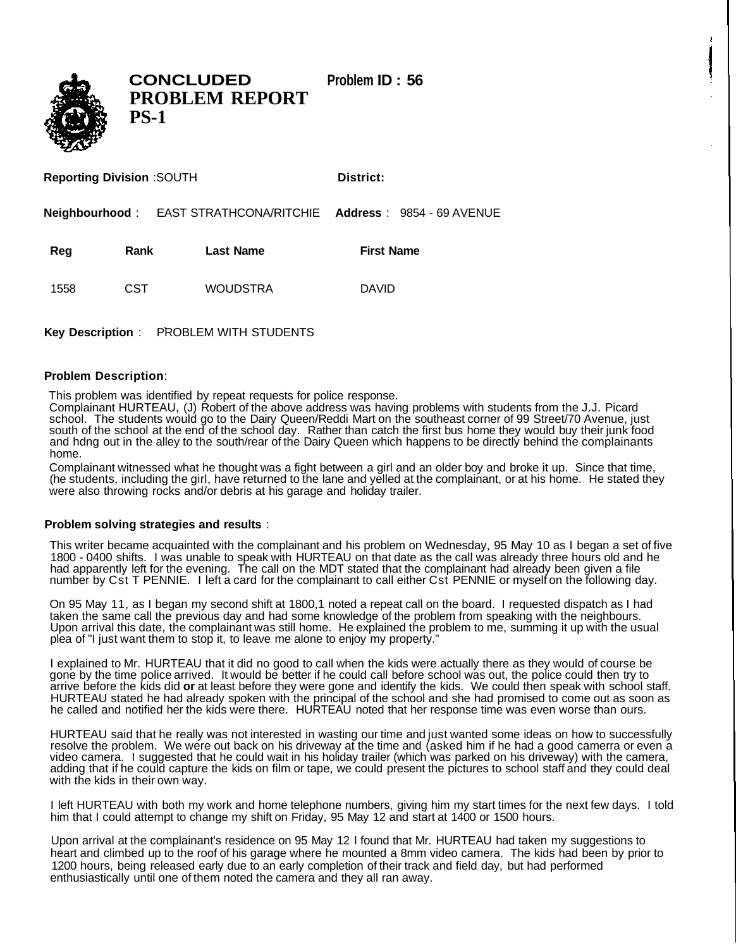

**CONCLUDED Problem ID : 56 PROBLEM REPORT PS-1**

**Reporting Division** :SOUTH **District:** 

**Neighbourhood** : EAST STRATHCONA/RITCHIE **Address** : 9854 - 69 AVENUE

Reg Rank Last Name **First Name** 

1558 CST WOUDSTRA DAVID

**Key Description** : PROBLEM WITH STUDENTS

## **Problem Description**:

This problem was identified by repeat requests for police response.

Complainant HURTEAU, (J) Robert of the above address was having problems with students from the J.J. Picard school. The students would go to the Dairy Queen/Reddi Mart on the southeast corner of 99 Street/70 Avenue, just south of the school at the end of the school day. Rather than catch the first bus home they would buy their junk food and hdng out in the alley to the south/rear of the Dairy Queen which happens to be directly behind the complainants home.

Complainant witnessed what he thought was a fight between a girl and an older boy and broke it up. Since that time, (he students, including the girl, have returned to the lane and yelled at the complainant, or at his home. He stated they were also throwing rocks and/or debris at his garage and holiday trailer.

## **Problem solving strategies and results** :

This writer became acquainted with the complainant and his problem on Wednesday, 95 May 10 as I began a set of five 1800 - 0400 shifts. I was unable to speak with HURTEAU on that date as the call was already three hours old and he had apparently left for the evening. The call on the MDT stated that the complainant had already been given a file number by Cst T PENNIE. I left a card for the complainant to call either Cst PENNIE or myself on the following day.

On 95 May 11, as I began my second shift at 1800,1 noted a repeat call on the board. I requested dispatch as I had taken the same call the previous day and had some knowledge of the problem from speaking with the neighbours. Upon arrival this date, the complainant was still home. He explained the problem to me, summing it up with the usual plea of "I just want them to stop it, to leave me alone to enjoy my property."

I explained to Mr. HURTEAU that it did no good to call when the kids were actually there as they would of course be gone by the time police arrived. It would be better if he could call before school was out, the police could then try to arrive before the kids did **or** at least before they were gone and identify the kids. We could then speak with school staff. HURTEAU stated he had already spoken with the principal of the school and she had promised to come out as soon as he called and notified her the kids were there. HURTEAU noted that her response time was even worse than ours.

HURTEAU said that he really was not interested in wasting our time and just wanted some ideas on how to successfully resolve the problem. We were out back on his driveway at the time and (asked him if he had a good camerra or even a video camera. I suggested that he could wait in his holiday trailer (which was parked on his driveway) with the camera, adding that if he could capture the kids on film or tape, we could present the pictures to school staff and they could deal with the kids in their own way.

I left HURTEAU with both my work and home telephone numbers, giving him my start times for the next few days. I told him that I could attempt to change my shift on Friday, 95 May 12 and start at 1400 or 1500 hours.

Upon arrival at the complainant's residence on 95 May 12 I found that Mr. HURTEAU had taken my suggestions to heart and climbed up to the roof of his garage where he mounted a 8mm video camera. The kids had been by prior to 1200 hours, being released early due to an early completion of their track and field day, but had performed enthusiastically until one of them noted the camera and they all ran away.